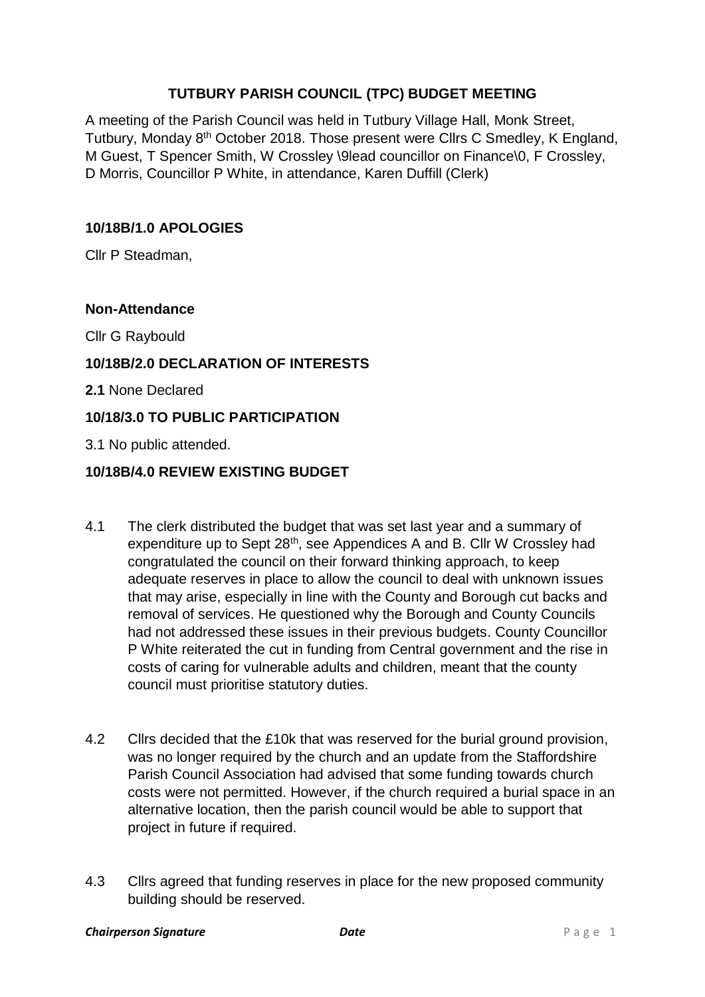## **TUTBURY PARISH COUNCIL (TPC) BUDGET MEETING**

A meeting of the Parish Council was held in Tutbury Village Hall, Monk Street, Tutbury, Monday 8<sup>th</sup> October 2018. Those present were Cllrs C Smedley, K England, M Guest, T Spencer Smith, W Crossley \9lead councillor on Finance\0, F Crossley, D Morris, Councillor P White, in attendance, Karen Duffill (Clerk)

#### **10/18B/1.0 APOLOGIES**

Cllr P Steadman,

#### **Non-Attendance**

Cllr G Raybould

### **10/18B/2.0 DECLARATION OF INTERESTS**

**2.1** None Declared

### **10/18/3.0 TO PUBLIC PARTICIPATION**

3.1 No public attended.

#### **10/18B/4.0 REVIEW EXISTING BUDGET**

- 4.1 The clerk distributed the budget that was set last year and a summary of expenditure up to Sept 28<sup>th</sup>, see Appendices A and B. Cllr W Crossley had congratulated the council on their forward thinking approach, to keep adequate reserves in place to allow the council to deal with unknown issues that may arise, especially in line with the County and Borough cut backs and removal of services. He questioned why the Borough and County Councils had not addressed these issues in their previous budgets. County Councillor P White reiterated the cut in funding from Central government and the rise in costs of caring for vulnerable adults and children, meant that the county council must prioritise statutory duties.
- 4.2 Cllrs decided that the £10k that was reserved for the burial ground provision, was no longer required by the church and an update from the Staffordshire Parish Council Association had advised that some funding towards church costs were not permitted. However, if the church required a burial space in an alternative location, then the parish council would be able to support that project in future if required.
- 4.3 Cllrs agreed that funding reserves in place for the new proposed community building should be reserved.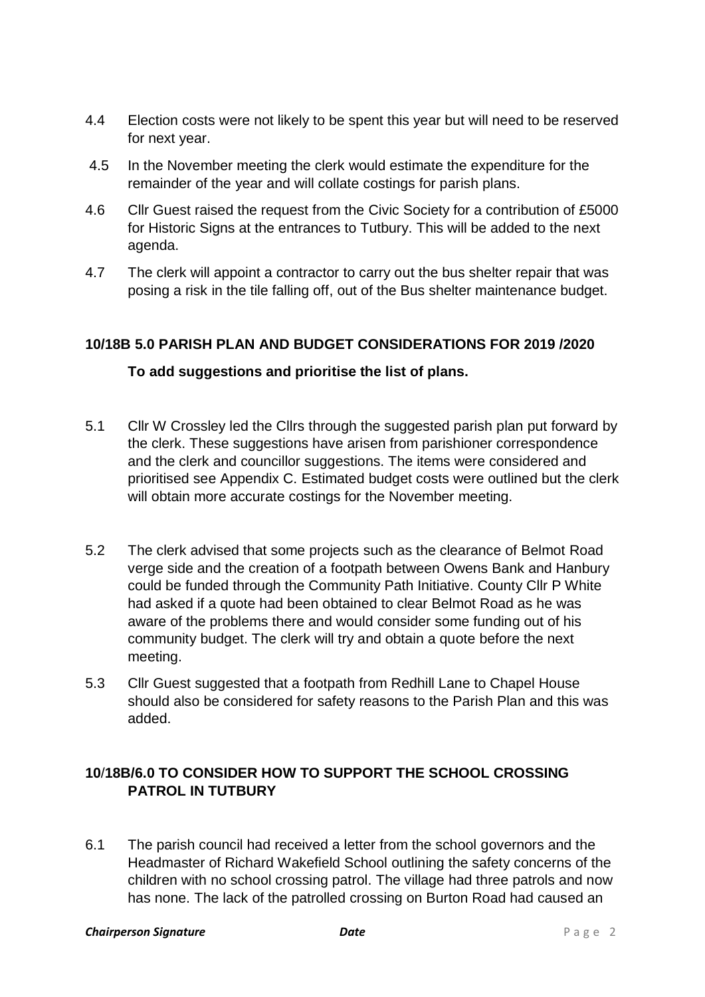- 4.4 Election costs were not likely to be spent this year but will need to be reserved for next year.
- 4.5 In the November meeting the clerk would estimate the expenditure for the remainder of the year and will collate costings for parish plans.
- 4.6 Cllr Guest raised the request from the Civic Society for a contribution of £5000 for Historic Signs at the entrances to Tutbury. This will be added to the next agenda.
- 4.7 The clerk will appoint a contractor to carry out the bus shelter repair that was posing a risk in the tile falling off, out of the Bus shelter maintenance budget.

## **10/18B 5.0 PARISH PLAN AND BUDGET CONSIDERATIONS FOR 2019 /2020**

## **To add suggestions and prioritise the list of plans.**

- 5.1 Cllr W Crossley led the Cllrs through the suggested parish plan put forward by the clerk. These suggestions have arisen from parishioner correspondence and the clerk and councillor suggestions. The items were considered and prioritised see Appendix C. Estimated budget costs were outlined but the clerk will obtain more accurate costings for the November meeting.
- 5.2 The clerk advised that some projects such as the clearance of Belmot Road verge side and the creation of a footpath between Owens Bank and Hanbury could be funded through the Community Path Initiative. County Cllr P White had asked if a quote had been obtained to clear Belmot Road as he was aware of the problems there and would consider some funding out of his community budget. The clerk will try and obtain a quote before the next meeting.
- 5.3 Cllr Guest suggested that a footpath from Redhill Lane to Chapel House should also be considered for safety reasons to the Parish Plan and this was added.

## **10**/**18B/6.0 TO CONSIDER HOW TO SUPPORT THE SCHOOL CROSSING PATROL IN TUTBURY**

6.1 The parish council had received a letter from the school governors and the Headmaster of Richard Wakefield School outlining the safety concerns of the children with no school crossing patrol. The village had three patrols and now has none. The lack of the patrolled crossing on Burton Road had caused an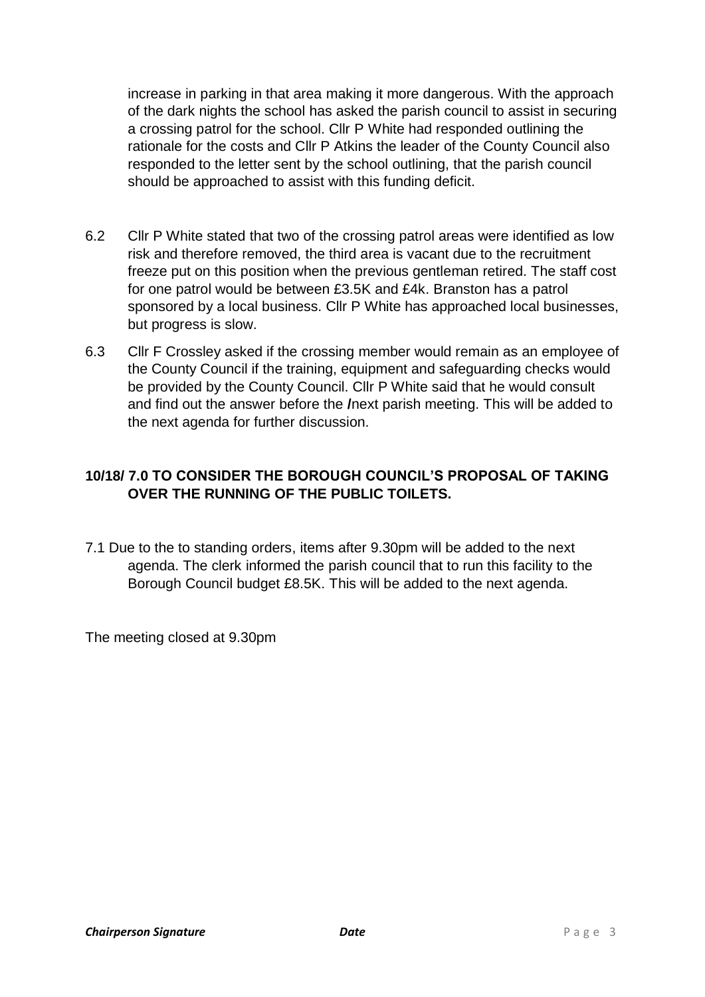increase in parking in that area making it more dangerous. With the approach of the dark nights the school has asked the parish council to assist in securing a crossing patrol for the school. Cllr P White had responded outlining the rationale for the costs and Cllr P Atkins the leader of the County Council also responded to the letter sent by the school outlining, that the parish council should be approached to assist with this funding deficit.

- 6.2 Cllr P White stated that two of the crossing patrol areas were identified as low risk and therefore removed, the third area is vacant due to the recruitment freeze put on this position when the previous gentleman retired. The staff cost for one patrol would be between £3.5K and £4k. Branston has a patrol sponsored by a local business. Cllr P White has approached local businesses, but progress is slow.
- 6.3 Cllr F Crossley asked if the crossing member would remain as an employee of the County Council if the training, equipment and safeguarding checks would be provided by the County Council. Cllr P White said that he would consult and find out the answer before the **/**next parish meeting. This will be added to the next agenda for further discussion.

## **10/18/ 7.0 TO CONSIDER THE BOROUGH COUNCIL'S PROPOSAL OF TAKING OVER THE RUNNING OF THE PUBLIC TOILETS.**

7.1 Due to the to standing orders, items after 9.30pm will be added to the next agenda. The clerk informed the parish council that to run this facility to the Borough Council budget £8.5K. This will be added to the next agenda.

The meeting closed at 9.30pm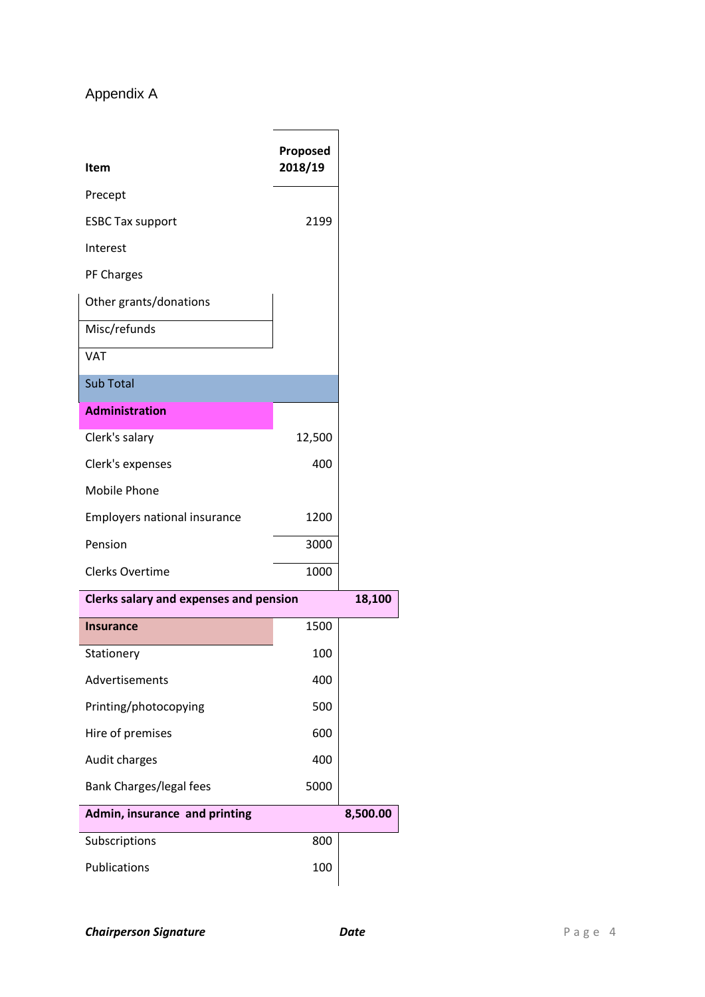# Appendix A

| <b>Item</b>                            | Proposed<br>2018/19 |          |
|----------------------------------------|---------------------|----------|
| Precept                                |                     |          |
| <b>ESBC Tax support</b>                | 2199                |          |
| Interest                               |                     |          |
| PF Charges                             |                     |          |
| Other grants/donations                 |                     |          |
| Misc/refunds                           |                     |          |
| <b>VAT</b>                             |                     |          |
| <b>Sub Total</b>                       |                     |          |
| <b>Administration</b>                  |                     |          |
| Clerk's salary                         | 12,500              |          |
| Clerk's expenses                       | 400                 |          |
| Mobile Phone                           |                     |          |
| <b>Employers national insurance</b>    | 1200                |          |
| Pension                                | 3000                |          |
| <b>Clerks Overtime</b>                 | 1000                |          |
| Clerks salary and expenses and pension |                     | 18,100   |
| <b>Insurance</b>                       | 1500                |          |
| Stationery                             | 100                 |          |
| Advertisements                         | 400                 |          |
| Printing/photocopying                  | 500                 |          |
| Hire of premises                       | 600                 |          |
| Audit charges                          | 400                 |          |
| Bank Charges/legal fees                | 5000                |          |
| Admin, insurance and printing          |                     | 8,500.00 |
| Subscriptions                          | 800                 |          |
| Publications                           | 100                 |          |
|                                        |                     |          |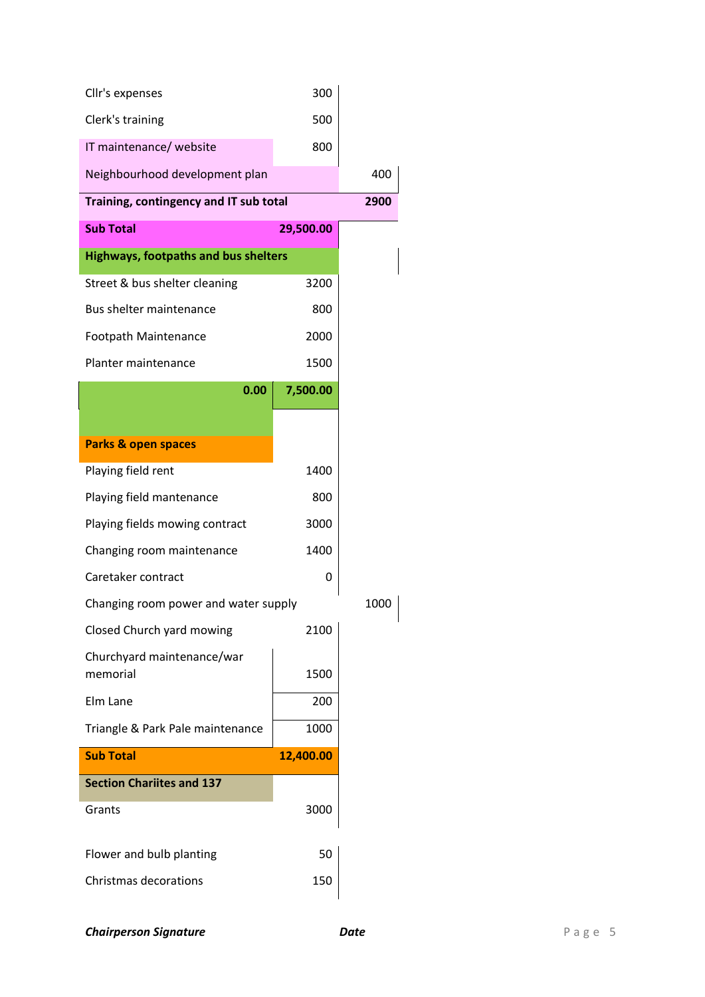| Cllr's expenses                             | 300       |      |
|---------------------------------------------|-----------|------|
| Clerk's training                            | 500       |      |
| IT maintenance/ website                     | 800       |      |
| Neighbourhood development plan              |           | 400  |
| Training, contingency and IT sub total      |           | 2900 |
| <b>Sub Total</b>                            | 29,500.00 |      |
| <b>Highways, footpaths and bus shelters</b> |           |      |
| Street & bus shelter cleaning               | 3200      |      |
| Bus shelter maintenance                     | 800       |      |
| Footpath Maintenance                        | 2000      |      |
| Planter maintenance                         | 1500      |      |
| 0.00                                        | 7,500.00  |      |
|                                             |           |      |
| <b>Parks &amp; open spaces</b>              |           |      |
| Playing field rent                          | 1400      |      |
| Playing field mantenance                    | 800       |      |
| Playing fields mowing contract              | 3000      |      |
| Changing room maintenance                   | 1400      |      |
| Caretaker contract                          | 0         |      |
| Changing room power and water supply        |           | 1000 |
| Closed Church yard mowing                   | 2100      |      |
| Churchyard maintenance/war<br>memorial      | 1500      |      |
| Elm Lane                                    | 200       |      |
| Triangle & Park Pale maintenance            | 1000      |      |
| <b>Sub Total</b>                            | 12,400.00 |      |
| <b>Section Chariites and 137</b>            |           |      |
| Grants                                      | 3000      |      |
| Flower and bulb planting                    | 50        |      |
| <b>Christmas decorations</b>                |           |      |

**Chairperson Signature** *Date P* **a g e 5**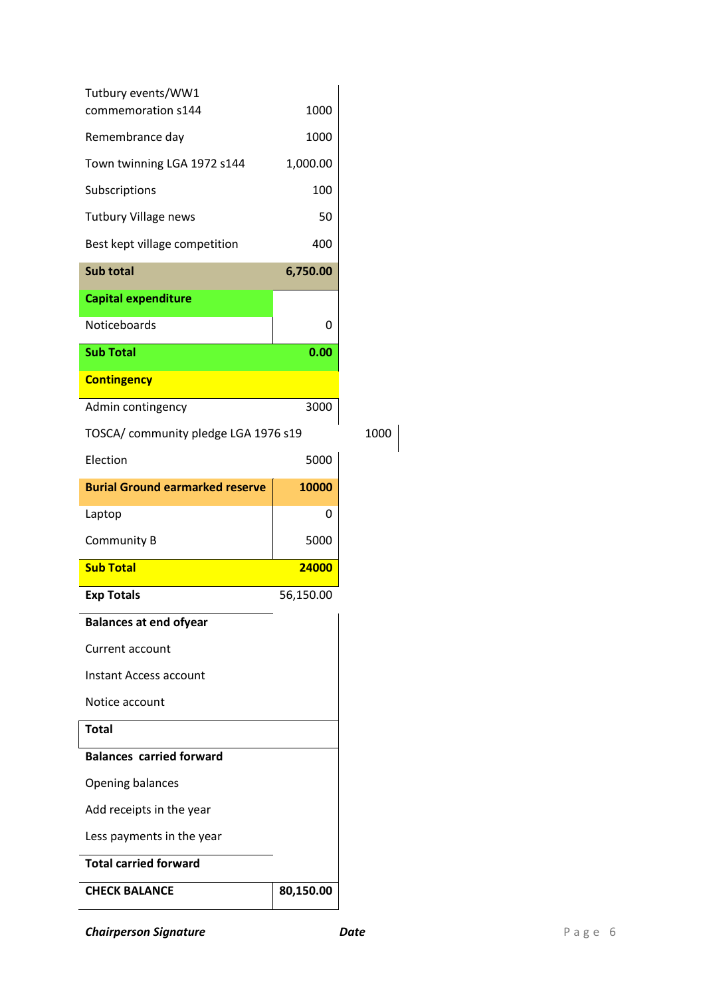| Tutbury events/WW1<br>commemoration s144 | 1000      |      |
|------------------------------------------|-----------|------|
| Remembrance day                          | 1000      |      |
| Town twinning LGA 1972 s144              | 1,000.00  |      |
| Subscriptions                            | 100       |      |
| <b>Tutbury Village news</b>              | 50        |      |
| Best kept village competition            | 400       |      |
| <b>Sub total</b>                         | 6,750.00  |      |
| <b>Capital expenditure</b>               |           |      |
| <b>Noticeboards</b>                      | 0         |      |
| <b>Sub Total</b>                         | 0.00      |      |
| <b>Contingency</b>                       |           |      |
| Admin contingency                        | 3000      |      |
| TOSCA/ community pledge LGA 1976 s19     |           | 1000 |
| Election                                 | 5000      |      |
| <b>Burial Ground earmarked reserve</b>   | 10000     |      |
| Laptop                                   | Ω         |      |
|                                          |           |      |
| Community B                              | 5000      |      |
| <b>Sub Total</b>                         | 24000     |      |
| <b>Exp Totals</b>                        | 56,150.00 |      |
| <b>Balances at end ofyear</b>            |           |      |
| Current account                          |           |      |
| Instant Access account                   |           |      |
| Notice account                           |           |      |
| <b>Total</b>                             |           |      |
| <b>Balances carried forward</b>          |           |      |
| <b>Opening balances</b>                  |           |      |
| Add receipts in the year                 |           |      |
| Less payments in the year                |           |      |
| <b>Total carried forward</b>             |           |      |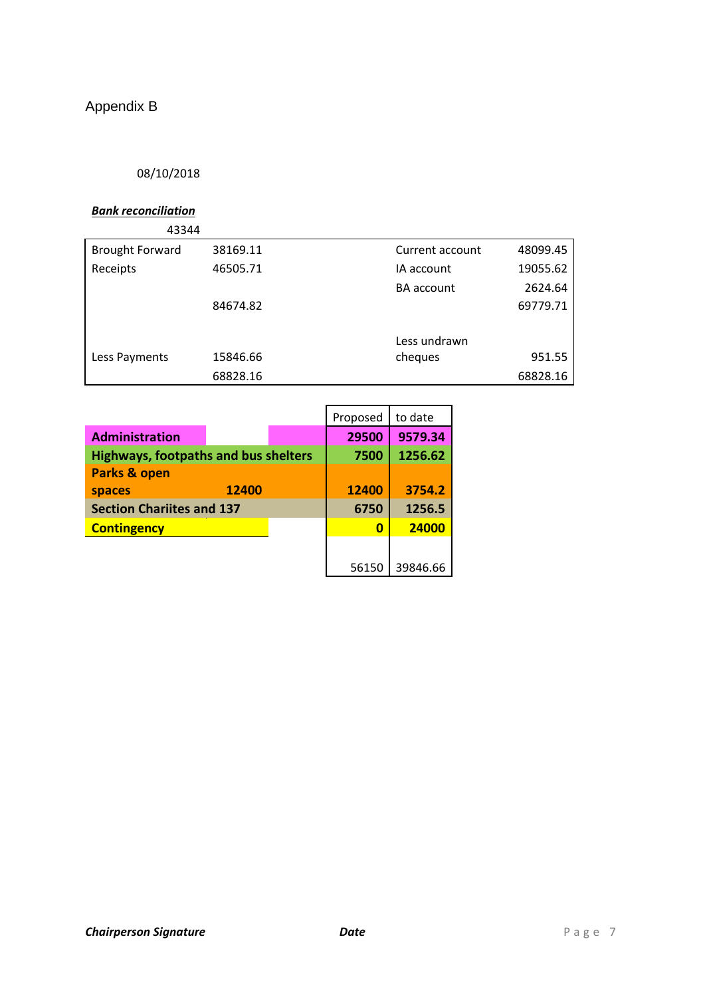# Appendix B

### 08/10/2018

### *Bank reconciliation*

| 43344                  |          |                   |          |
|------------------------|----------|-------------------|----------|
| <b>Brought Forward</b> | 38169.11 | Current account   | 48099.45 |
| Receipts               | 46505.71 | IA account        | 19055.62 |
|                        |          | <b>BA</b> account | 2624.64  |
|                        | 84674.82 |                   | 69779.71 |
|                        |          |                   |          |
|                        |          | Less undrawn      |          |
| Less Payments          | 15846.66 | cheques           | 951.55   |
|                        | 68828.16 |                   | 68828.16 |

|                                             |       | Proposed | to date  |
|---------------------------------------------|-------|----------|----------|
| <b>Administration</b>                       |       | 29500    | 9579.34  |
| <b>Highways, footpaths and bus shelters</b> |       | 7500     | 1256.62  |
| Parks & open                                |       |          |          |
| <b>spaces</b>                               | 12400 | 12400    | 3754.2   |
| <b>Section Chariites and 137</b>            |       | 6750     | 1256.5   |
| <b>Contingency</b>                          |       | 0        | 24000    |
|                                             |       |          |          |
|                                             |       | 56150    | 39846.66 |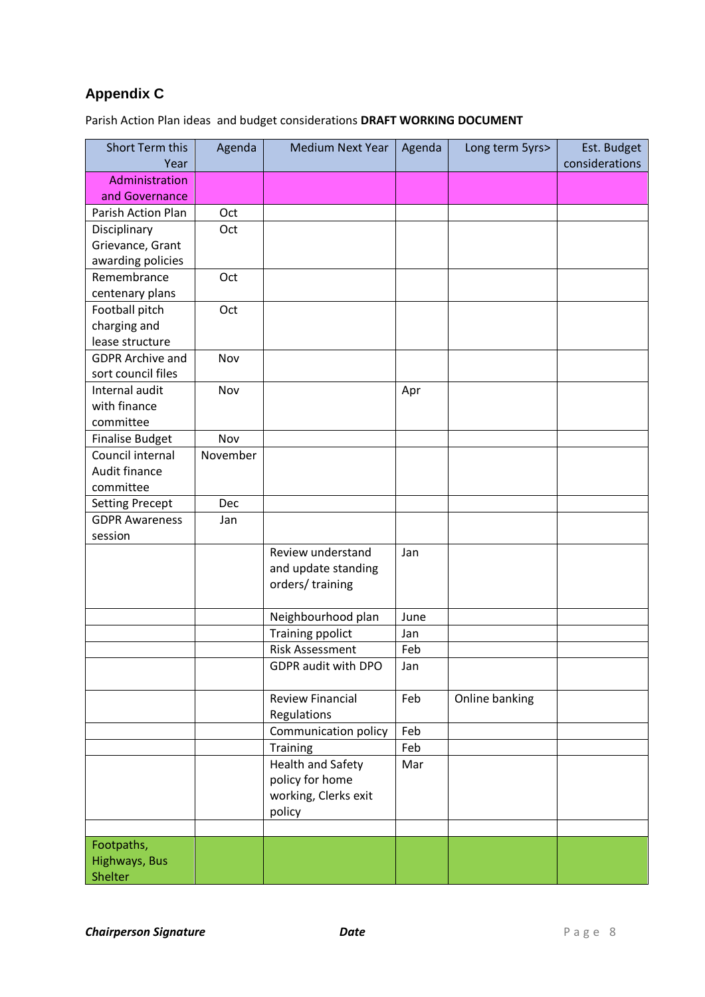## **Appendix C**

Parish Action Plan ideas and budget considerations **DRAFT WORKING DOCUMENT**

| Short Term this<br>Year | Agenda   | <b>Medium Next Year</b>  | Agenda | Long term 5yrs> | Est. Budget<br>considerations |
|-------------------------|----------|--------------------------|--------|-----------------|-------------------------------|
| Administration          |          |                          |        |                 |                               |
| and Governance          |          |                          |        |                 |                               |
| Parish Action Plan      | Oct      |                          |        |                 |                               |
| Disciplinary            | Oct      |                          |        |                 |                               |
| Grievance, Grant        |          |                          |        |                 |                               |
| awarding policies       |          |                          |        |                 |                               |
| Remembrance             | Oct      |                          |        |                 |                               |
| centenary plans         |          |                          |        |                 |                               |
| Football pitch          | Oct      |                          |        |                 |                               |
| charging and            |          |                          |        |                 |                               |
| lease structure         |          |                          |        |                 |                               |
| <b>GDPR Archive and</b> | Nov      |                          |        |                 |                               |
| sort council files      |          |                          |        |                 |                               |
| Internal audit          | Nov      |                          | Apr    |                 |                               |
| with finance            |          |                          |        |                 |                               |
| committee               |          |                          |        |                 |                               |
| <b>Finalise Budget</b>  | Nov      |                          |        |                 |                               |
| Council internal        | November |                          |        |                 |                               |
| Audit finance           |          |                          |        |                 |                               |
| committee               |          |                          |        |                 |                               |
| <b>Setting Precept</b>  | Dec      |                          |        |                 |                               |
| <b>GDPR Awareness</b>   | Jan      |                          |        |                 |                               |
| session                 |          |                          |        |                 |                               |
|                         |          | Review understand        | Jan    |                 |                               |
|                         |          | and update standing      |        |                 |                               |
|                         |          | orders/training          |        |                 |                               |
|                         |          |                          |        |                 |                               |
|                         |          | Neighbourhood plan       | June   |                 |                               |
|                         |          | <b>Training ppolict</b>  | Jan    |                 |                               |
|                         |          | <b>Risk Assessment</b>   | Feb    |                 |                               |
|                         |          | GDPR audit with DPO      | Jan    |                 |                               |
|                         |          | <b>Review Financial</b>  | Feb    | Online banking  |                               |
|                         |          | Regulations              |        |                 |                               |
|                         |          | Communication policy     | Feb    |                 |                               |
|                         |          | Training                 | Feb    |                 |                               |
|                         |          | <b>Health and Safety</b> | Mar    |                 |                               |
|                         |          | policy for home          |        |                 |                               |
|                         |          | working, Clerks exit     |        |                 |                               |
|                         |          | policy                   |        |                 |                               |
|                         |          |                          |        |                 |                               |
| Footpaths,              |          |                          |        |                 |                               |
| Highways, Bus           |          |                          |        |                 |                               |
| Shelter                 |          |                          |        |                 |                               |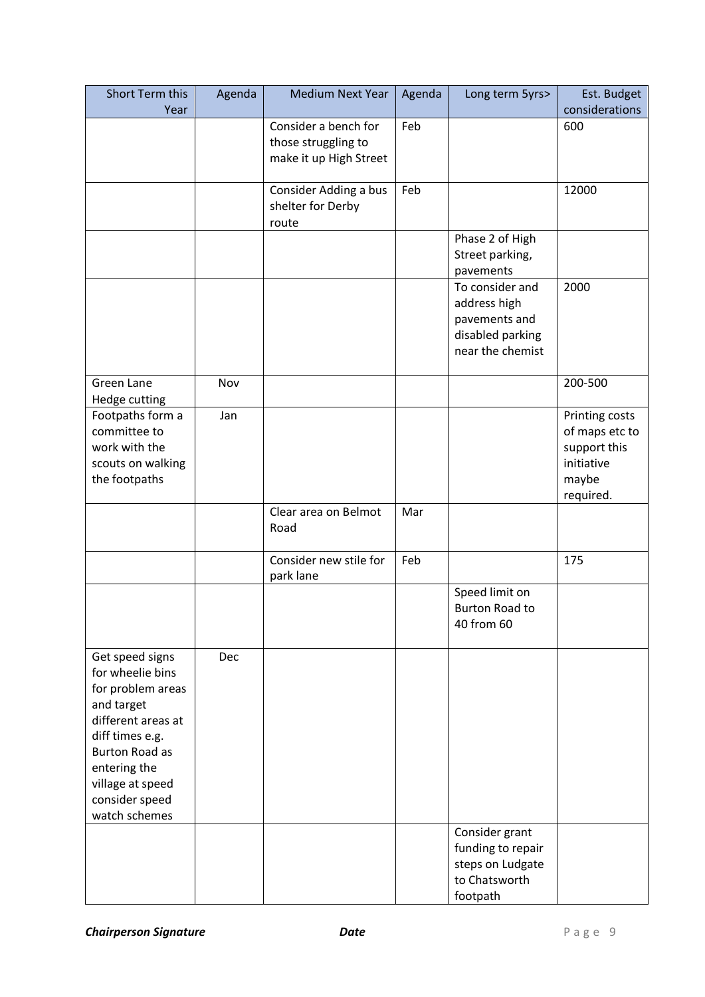| Short Term this<br>Year | Agenda | <b>Medium Next Year</b>    | Agenda | Long term 5yrs>       | Est. Budget<br>considerations |
|-------------------------|--------|----------------------------|--------|-----------------------|-------------------------------|
|                         |        | Consider a bench for       |        |                       |                               |
|                         |        |                            | Feb    |                       | 600                           |
|                         |        | those struggling to        |        |                       |                               |
|                         |        | make it up High Street     |        |                       |                               |
|                         |        |                            | Feb    |                       | 12000                         |
|                         |        | Consider Adding a bus      |        |                       |                               |
|                         |        | shelter for Derby<br>route |        |                       |                               |
|                         |        |                            |        | Phase 2 of High       |                               |
|                         |        |                            |        | Street parking,       |                               |
|                         |        |                            |        | pavements             |                               |
|                         |        |                            |        | To consider and       | 2000                          |
|                         |        |                            |        | address high          |                               |
|                         |        |                            |        | pavements and         |                               |
|                         |        |                            |        | disabled parking      |                               |
|                         |        |                            |        | near the chemist      |                               |
|                         |        |                            |        |                       |                               |
| <b>Green Lane</b>       | Nov    |                            |        |                       | 200-500                       |
| Hedge cutting           |        |                            |        |                       |                               |
| Footpaths form a        | Jan    |                            |        |                       | Printing costs                |
| committee to            |        |                            |        |                       | of maps etc to                |
| work with the           |        |                            |        |                       | support this                  |
| scouts on walking       |        |                            |        |                       | initiative                    |
| the footpaths           |        |                            |        |                       | maybe                         |
|                         |        |                            |        |                       | required.                     |
|                         |        | Clear area on Belmot       | Mar    |                       |                               |
|                         |        | Road                       |        |                       |                               |
|                         |        |                            |        |                       |                               |
|                         |        | Consider new stile for     | Feb    |                       | 175                           |
|                         |        | park lane                  |        | Speed limit on        |                               |
|                         |        |                            |        | <b>Burton Road to</b> |                               |
|                         |        |                            |        | 40 from 60            |                               |
|                         |        |                            |        |                       |                               |
| Get speed signs         | Dec    |                            |        |                       |                               |
| for wheelie bins        |        |                            |        |                       |                               |
| for problem areas       |        |                            |        |                       |                               |
| and target              |        |                            |        |                       |                               |
| different areas at      |        |                            |        |                       |                               |
| diff times e.g.         |        |                            |        |                       |                               |
| <b>Burton Road as</b>   |        |                            |        |                       |                               |
| entering the            |        |                            |        |                       |                               |
| village at speed        |        |                            |        |                       |                               |
| consider speed          |        |                            |        |                       |                               |
| watch schemes           |        |                            |        |                       |                               |
|                         |        |                            |        | Consider grant        |                               |
|                         |        |                            |        | funding to repair     |                               |
|                         |        |                            |        | steps on Ludgate      |                               |
|                         |        |                            |        | to Chatsworth         |                               |
|                         |        |                            |        | footpath              |                               |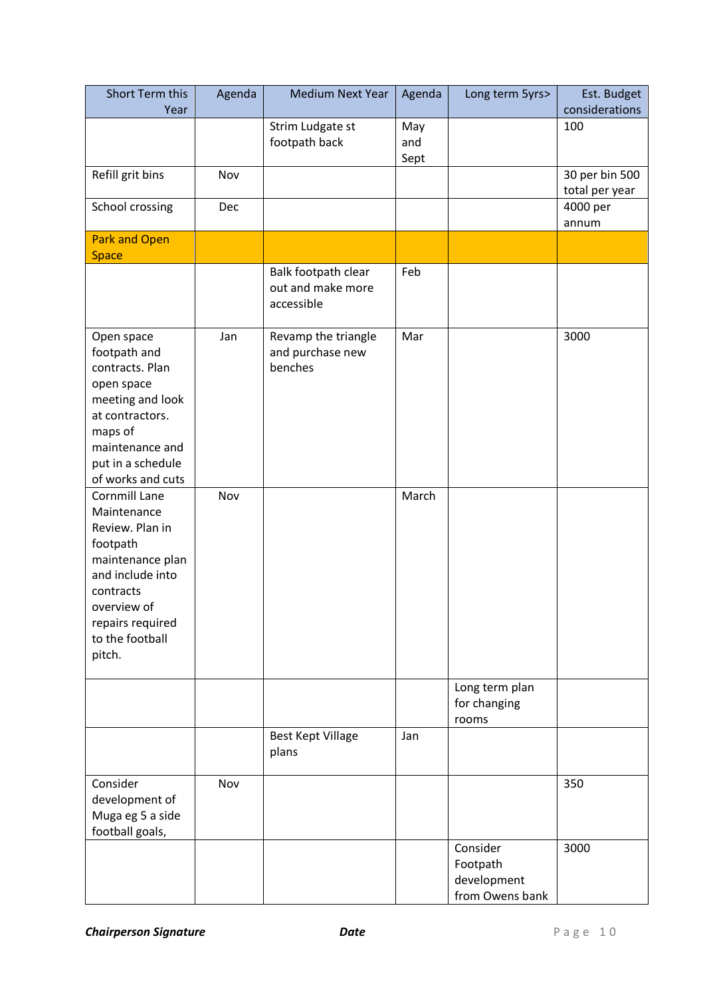| Short Term this<br>Year                                                                                                                                                          | Agenda | <b>Medium Next Year</b>                                | Agenda             | Long term 5yrs>                                        | Est. Budget<br>considerations    |
|----------------------------------------------------------------------------------------------------------------------------------------------------------------------------------|--------|--------------------------------------------------------|--------------------|--------------------------------------------------------|----------------------------------|
|                                                                                                                                                                                  |        | Strim Ludgate st<br>footpath back                      | May<br>and<br>Sept |                                                        | 100                              |
| Refill grit bins                                                                                                                                                                 | Nov    |                                                        |                    |                                                        | 30 per bin 500<br>total per year |
| School crossing                                                                                                                                                                  | Dec    |                                                        |                    |                                                        | 4000 per<br>annum                |
| <b>Park and Open</b>                                                                                                                                                             |        |                                                        |                    |                                                        |                                  |
| <b>Space</b>                                                                                                                                                                     |        | Balk footpath clear<br>out and make more<br>accessible | Feb                |                                                        |                                  |
| Open space<br>footpath and<br>contracts. Plan<br>open space<br>meeting and look<br>at contractors.<br>maps of<br>maintenance and<br>put in a schedule<br>of works and cuts       | Jan    | Revamp the triangle<br>and purchase new<br>benches     | Mar                |                                                        | 3000                             |
| Cornmill Lane<br>Maintenance<br>Review. Plan in<br>footpath<br>maintenance plan<br>and include into<br>contracts<br>overview of<br>repairs required<br>to the football<br>pitch. | Nov    |                                                        | March              |                                                        |                                  |
|                                                                                                                                                                                  |        |                                                        |                    | Long term plan<br>for changing<br>rooms                |                                  |
|                                                                                                                                                                                  |        | <b>Best Kept Village</b><br>plans                      | Jan                |                                                        |                                  |
| Consider<br>development of<br>Muga eg 5 a side<br>football goals,                                                                                                                | Nov    |                                                        |                    |                                                        | 350                              |
|                                                                                                                                                                                  |        |                                                        |                    | Consider<br>Footpath<br>development<br>from Owens bank | 3000                             |